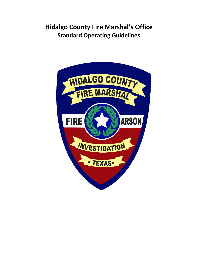# **Hidalgo County Fire Marshal's Office Standard Operating Guidelines**

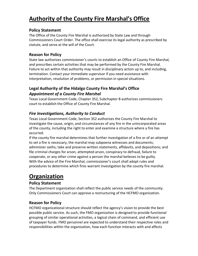# **Authority of the County Fire Marshal's Office**

## **Policy Statement**

The Office of the County Fire Marshal is authorized by State Law and through Commissioners Court Order. The office shall exercise its legal authority as prescribed by statute, and serve at the will of the Court.

## **Reason for Policy**

State law authorizes commissioner's courts to establish an Office of County Fire Marshal, and prescribes certain activities that may be performed by the County Fire Marshal. Failure to act within that authority may result in disciplinary action up to, and including, termination. Contact your immediate supervisor if you need assistance with interpretation, resolution of problems, or permission in special situations.

## **Legal Authority of the Hidalgo County Fire Marshal's Office**  *Appointment of a County Fire Marshal*

Texas Local Government Code, Chapter 352, Subchapter B authorizes commissioners court to establish the Office of County Fire Marshal.

## *Fire Investigations, Authority to Conduct*

Texas Local Government Code, Section 352 authorizes the County Fire Marshal to investigate the cause, origin, and circumstances of any fire in the unincorporated areas of the county, including the right to enter and examine a structure where a fire has occurred.

If the county fire marshal determines that further investigation of a fire or of an attempt to set a fire is necessary, the marshal may subpoena witnesses and documents; administer oaths; take and preserve written statements, affidavits, and depositions; and file criminal charges for arson, attempted arson, conspiracy to defraud, failure to cooperate, or any other crime against a person the marshal believes to be guilty. With the advice of the Fire Marshal, commissioner's court shall adopt rules and procedures to determine which fires warrant investigation by the county fire marshal.

# **Organization**

## **Policy Statement**

The Department organization shall reflect the public service needs of the community. Only Commissioners Court can approve a restructuring of the HCFMO organization.

## **Reason for Policy**

HCFMO organizational structure should reflect the agency's vision to provide the best possible public service. As such, the FMO organization is designed to provide functional grouping of similar operational activities, a logical chain of command, and efficient use of taxpayer funds. FMO personnel are expected to understand their respective roles and responsibilities within the organization, how each function interacts with and affects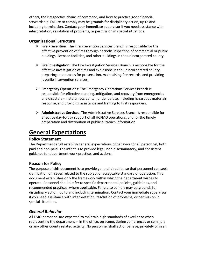others, their respective chains of command, and how to practice good financial stewardship. Failure to comply may be grounds for disciplinary action, up to and including termination. Contact your immediate supervisor if you need assistance with interpretation, resolution of problems, or permission in special situations.

## **Organizational Structure**

- **Fire Prevention**: The Fire Prevention Services Branch is responsible for the effective prevention of fires through periodic inspection of commercial or public buildings, licensed facilities, and other buildings in the unincorporated county.
- **Fire Investigation**: The Fire Investigation Services Branch is responsible for the effective investigation of fires and explosions in the unincorporated county, preparing arson cases for prosecution, maintaining fire records, and providing juvenile intervention services.
- **Emergency Operations**: The Emergency Operations Services Branch is responsible for effective planning, mitigation, and recovery from emergencies and disasters -- natural, accidental, or deliberate, including hazardous materials response, and providing assistance and training to first responders.
- **Administrative Services**: The Administrative Services Branch is responsible for effective day-to-day support of all HCFMO operations, and for the timely preparation and distribution of public outreach information

## **General Expectations**

#### **Policy Statement**

The Department shall establish general expectations of behavior for all personnel, both paid and non-paid. The intent is to provide legal, non-discriminatory, and consistent guidance for department work practices and actions.

## **Reason for Policy**

The purpose of this document is to provide general direction so that personnel can seek clarification on issues related to the subject of acceptable standard of operation. This document establishes only the framework within which the department wishes to operate. Personnel should refer to specific departmental policies, guidelines, and recommended practices, where applicable. Failure to comply may be grounds for disciplinary action, up to and including termination. Contact your immediate supervisor if you need assistance with interpretation, resolution of problems, or permission in special situations.

## *General Behavior*

All FMO personnel are expected to maintain high standards of excellence when representing the department -- in the office, on scene, during conferences or seminars or any other county related activity. No personnel shall act or behave, privately or in an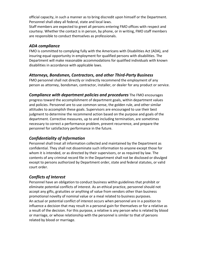official capacity, in such a manner as to bring discredit upon himself or the Department. Personnel shall obey all federal, state and local laws.

Staff members are expected to greet all persons entering FMO offices with respect and courtesy. Whether the contact is in person, by phone, or in writing, FMO staff members are responsible to conduct themselves as professionals.

## *ADA compliance*

FMO is committed to complying fully with the Americans with Disabilities Act (ADA), and insuring equal opportunity in employment for qualified persons with disabilities. The Department will make reasonable accommodations for qualified individuals with known disabilities in accordance with applicable laws.

#### *Attorneys, Bondsmen, Contractors, and other Third-Party Business*

FMO personnel shall not directly or indirectly recommend the employment of any person as attorney, bondsman, contractor, installer, or dealer for any product or service.

*Compliance with department policies and procedures* The FMO encourages

progress toward the accomplishment of department goals, within department values and policies. Personnel are to use common sense, the golden rule, and other similar attitudes to accomplish these goals. Supervisors are encouraged to use their best judgment to determine the recommend action based on the purpose and goals of the department. Corrective measures, up to and including termination, are sometimes necessary to correct a performance problem, prevent recurrence, and prepare the personnel for satisfactory performance in the future.

## *Confidentiality of Information*

Personnel shall treat all information collected and maintained by the Department as confidential. They shall not disseminate such information to anyone except those for whom it is intended, or as directed by their supervisors, or as required by law. The contents of any criminal record file in the Department shall not be disclosed or divulged except to persons authorized by Department order, state and federal statutes, or valid court order.

## *Conflicts of Interest*

Personnel have an obligation to conduct business within guidelines that prohibit or eliminate potential conflicts of interest. As an ethical practice, personnel should not accept any gifts, gratuities or anything of value from vendors other than business promotional novelty of nominal value or a meal related to business purposes. An actual or potential conflict of interest occurs when personnel are in a position to influence a decision that may result in a personal gain for themselves or for a relative as a result of the decision. For this purpose, a relative is any person who is related by blood or marriage, or whose relationship with the personnel is similar to that of persons related by blood or marriage.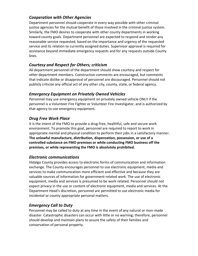## *Cooperation with Other Agencies*

Department personnel should cooperate in every way possible with other criminal justice agencies for the mutual benefit of those involved in the criminal justice system. Similarly, the FMO desires to cooperate with other county departments in working toward county goals. Department personnel are expected to respond and render any reasonable service requested, based on the importance and urgency of the requested service and its relation to currently assigned duties. Supervisor approval is required for assistance beyond immediate emergency requests and for any requests outside County lines.

## *Courtesy and Respect for Others; criticism*

All department personnel of the department should show courtesy and respect for other department members. Constructive comments are encouraged, but comments that indicate dislike or disapproval of personnel are discouraged. Personnel should not publicly criticize any official act of any other city, county, state, or federal agency.

## *Emergency Equipment on Privately Owned Vehicles*

Personnel may use emergency equipment on privately owned vehicle ONLY if the personnel is a Volunteer Fire Fighter or Volunteer Fire Investigator, and is authorized by that agency to use emergency equipment.

## *Drug Free Work Place*

It is the intent of the FMO to provide a drug-free, healthful, safe and secure work environment. To promote this goal, personnel are required to report to work in appropriate mental and physical condition to perform their jobs in a satisfactory manner. **The unlawful manufacture, distribution, dispensation, possession, or use of a controlled substance on FMO premises or while conducting FMO business off the premises, or while representing the FMO is absolutely prohibited.**

#### *Electronic communications*

Hidalgo County provides access to electronic forms of communication and information exchange. The County encourages personnel to use electronic equipment, media and services to make communication more efficient and effective and because they are valuable sources of information for government-related work. The use of electronic equipment, media and services is presumed to be work-related. Personnel should not expect privacy in the use or content of electronic equipment, media and services. At the Department Head's discretion, personnel are permitted to use electronic media for incidental or county appropriate personal matters.

## *Emergency Call to Duty*

Personnel may be called to duty at any time in the event of any natural or man-made disaster. Catastrophic disasters can occur with little or no warning; therefore, personnel should develop and maintain plans to assure the safety of their families and conservation of personal property.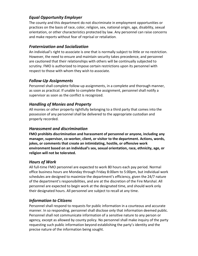## *Equal Opportunity Employer*

The county and this department do not discriminate in employment opportunities or practices on the basis of race, color, religion, sex, national origin, age, disability, sexual orientation, or other characteristics protected by law. Any personnel can raise concerns and make reports without fear of reprisal or retaliation.

## *Fraternization and Socialization*

An individual's right to associate is one that is normally subject to little or no restriction. However, the need to ensure and maintain security takes precedence, and personnel are cautioned that their relationships with others will be continually subjected to scrutiny. FMO is authorized to impose certain restrictions upon its personnel with respect to those with whom they wish to associate.

## *Follow-Up Assignments*

Personnel shall complete follow-up assignments, in a complete and thorough manner, as soon as practical. If unable to complete the assignment, personnel shall notify a supervisor as soon as the conflict is recognized.

## *Handling of Monies and Property*

All monies or other property rightfully belonging to a third party that comes into the possession of any personnel shall be delivered to the appropriate custodian and properly recorded.

## *Harassment and discrimination*

**FMO prohibits discrimination and harassment of personnel or anyone, including any manager, supervisor, co-worker, client, or visitor to the department. Actions, words, jokes, or comments that create an intimidating, hostile, or offensive work environment based on an individual's sex, sexual orientation, race, ethnicity, age, or religion will not be tolerated.** 

## *Hours of Work*

All full-time FMO personnel are expected to work 80 hours each pay period. Normal office business hours are Monday through Friday 8:00am to 5:00pm, but individual work schedules are designed to maximize the department's efficiency, given the 24/7 nature of the department's responsibilities, and are at the discretion of the Fire Marshal. All personnel are expected to begin work at the designated time, and should work only their designated hours. All personnel are subject to recall at any time.

## *Information to Citizens*

Personnel shall respond to requests for public information in a courteous and accurate manner. In so responding, personnel shall disclose only that information deemed public. Personnel shall not communicate information of a sensitive nature to any person or agency, except as allowed by county policy. No personnel shall make inquiry of the party requesting such public information beyond establishing the party's identity and the precise nature of the information being sought.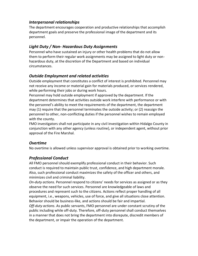## *Interpersonal relationships*

The department encourages cooperation and productive relationships that accomplish department goals and preserve the professional image of the department and its personnel.

## *Light Duty / Non- Hazardous Duty Assignments*

Personnel who have sustained an injury or other health problems that do not allow them to perform their regular work assignments may be assigned to light duty or nonhazardous duty, at the discretion of the Department and based on individual circumstances.

## *Outside Employment and related activities*

Outside employment that constitutes a conflict of interest is prohibited. Personnel may not receive any income or material gain for materials produced, or services rendered, while performing their jobs or during work hours.

Personnel may hold outside employment if approved by the department. If the department determines that activities outside work interfere with performance or with the personnel's ability to meet the requirements of the department, the department may (1) require that the personnel terminates the outside activity; or (2) reassign the personnel to other, non-conflicting duties if the personnel wishes to remain employed with the county.

FMO investigators shall not participate in any civil investigation within Hidalgo County in conjunction with any other agency (unless routine), or independent agent, without prior approval of the Fire Marshal.

## *Overtime*

No overtime is allowed unless supervisor approval is obtained prior to working overtime.

## *Professional Conduct*

All FMO personnel should exemplify professional conduct in their behavior. Such conduct is required to maintain public trust, confidence, and high department morale. Also, such professional conduct maximizes the safety of the officer and others, and minimizes civil and criminal liability.

*On-duty actions*. Personnel respond to citizens' needs for services as assigned or as they observe the need for such services. Personnel are knowledgeable of laws and procedures and represent such to the citizens. Actions reflect proper handling of all equipment, i.e., weapons, vehicles, use of force, and give all situations close attention. Behavior should be business-like, and actions should be fair and impartial.

*Off-duty actions*. As public servants, FMO personnel are under constant scrutiny of the public including while off-duty. Therefore, off-duty personnel shall conduct themselves in a manner that does not bring the department into disrepute, discredit members of the department, or impair the operation of the department.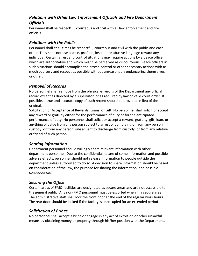## *Relations with Other Law Enforcement Officials and Fire Department Officials*

Personnel shall be respectful, courteous and civil with all law enforcement and fire officials.

## *Relations with the Public*

Personnel shall at all times be respectful, courteous and civil with the public and each other. They shall not use coarse, profane, insolent or abusive language toward any individual. Certain arrest and control situations may require actions by a peace officer which are authoritative and which might be perceived as discourteous. Peace officers in such situations should accomplish the arrest, control or other necessary actions with as much courtesy and respect as possible without unreasonably endangering themselves or other.

## *Removal of Records*

No personnel shall remove from the physical environs of the Department any official record except as directed by a supervisor, or as required by law or valid court order. If possible, a true and accurate copy of such record should be provided in lieu of the original.

Solicitation or Acceptance of Rewards, Loans, or Gift: No personnel shall solicit or accept any reward or gratuity either for the performance of duty or for the anticipated performance of duty. No personnel shall solicit or accept a reward, gratuity, gift, loan, or anything of value from any person subject to arrest or complaint, or from any person in custody, or from any person subsequent to discharge from custody, or from any relative or friend of such person.

## *Sharing Information*

Department personnel should willingly share relevant information with other department personnel. Due to the confidential nature of some information and possible adverse effects, personnel should not release information to people outside the department unless authorized to do so. A decision to share information should be based on consideration of the law, the purpose for sharing the information, and possible consequences.

## *Securing the Office*

Certain areas of FMO facilities are designated as secure areas and are not accessible to the general public. Any non-FMO personnel must be escorted when in a secure area. The administrative staff shall lock the front door at the end of the regular work hours. The rear door should be locked if the facility is unoccupied for an extended period.

## *Solicitation of Bribes*

No personnel shall accept a bribe or engage in any act of extortion or other unlawful means by obtaining money or property through his/her position with the Department.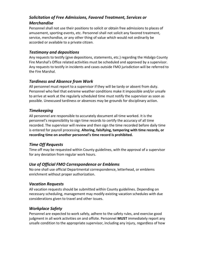## *Solicitation of Free Admissions, Favored Treatment, Services or Merchandise*

Personnel shall not use their positions to solicit or obtain free admissions to places of amusement, sporting events, etc. Personnel shall not solicit any favored treatment, service, merchandise, or any other thing of value which would not ordinarily be accorded or available to a private citizen.

## *Testimony and depositions*

Any requests to testify (give depositions, statements, etc.) regarding the Hidalgo County Fire Marshal's Office related activities must be scheduled and approved by a supervisor. Any requests to testify in incidents and cases outside FMO jurisdiction will be referred to the Fire Marshal.

#### *Tardiness and Absence from Work*

All personnel must report to a supervisor if they will be tardy or absent from duty. Personnel who feel that extreme weather conditions make it impossible and/or unsafe to arrive at work at the regularly scheduled time must notify the supervisor as soon as possible. Unexcused tardiness or absences may be grounds for disciplinary action.

#### *Timekeeping*

All personnel are responsible to accurately document all time worked. It is the personnel's responsibility to sign time records to certify the accuracy of all time recorded. The supervisor will review and then sign the time recorded before daily time is entered for payroll processing. **Altering, falsifying, tampering with time records, or recording time on another personnel's time record is prohibited.** 

## *Time Off Requests*

Time off may be requested within County guidelines, with the approval of a supervisor for any deviation from regular work hours.

## *Use of Official FMO Correspondence or Emblems*

No one shall use official Departmental correspondence, letterhead, or emblems enrichment without proper authorization.

#### *Vacation Requests*

All vacation requests should be submitted within County guidelines. Depending on necessary scheduling, management may modify existing vacation schedules with due considerations given to travel and other issues.

## *Workplace Safety*

Personnel are expected to work safely, adhere to the safety rules, and exercise good judgment in all work activities on and offsite. Personnel **MUST** immediately report any unsafe condition to the appropriate supervisor, including any injury, regardless of how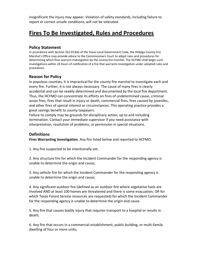insignificant the injury may appear. Violation of safety standards, including failure to report or correct unsafe conditions, will not be tolerated.

## **Fires To Be Investigated, Rules and Procedures**

#### **Policy Statement**

In accordance with Section 352.013(b) of the Texas Local Government Code, the Hidalgo County Fire Marshal's Office may provide advice to the Commissioners Court to adopt rules and procedures for determining which fires warrant investigation by the county fire marshal. The HCFMO shall begin such investigations within 24 hours of notification of a fire that warrants investigation under adopted rules and procedures.

#### **Reason for Policy**

In populous counties, it is impractical for the county fire marshal to investigate each and every fire. Further, it is not always necessary. The cause of many fires is clearly accidental and can be readily determined and documented by the local fire department. Thus, the HCFMO can concentrate its efforts on fires of undetermined cause, criminal arson fires, fires that result in injury or death, commercial fires, fires caused by juveniles, and other fires of special interest or circumstances. This operating practice provides a great savings benefit to county taxpayers.

Failure to comply may be grounds for disciplinary action, up to and including termination. Contact your immediate supervisor if you need assistance with interpretation, resolution of problems, or permission in special situations.

#### **Definitions**

**Fires Warranting Investigation**. Any fire listed below and reported to HCFMO.

1. Any fire suspected to be intentionally set;

2. Any structure fire for which the Incident Commander for the responding agency is unable to determine the origin and cause;

3. Any vehicle fire for which the Incident Commander for the responding agency is unable to determine the origin and cause;

4. Any significant outdoor fire (defined as an outdoor fire where vegetative fuels are involved AND at least 100 homes are threatened and there is some evacuation; OR for which Texas Forest Service resources are requested) for which the Incident Commander for the responding agency is unable to determine the origin and cause.

5. Any fire that causes bodily injury that requires transport to a hospital or results in death;

6. Any fire that occurs in a commercial establishment, public building, or multi-family dwelling of four or more units;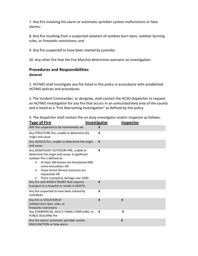7. Any fire involving fire alarm or automatic sprinkler system malfunctions or false alarms;

8. Any fire resulting from a suspected violation of outdoor burn bans, outdoor burning rules, or fireworks restrictions; and

9. Any fire suspected to have been started by juveniles.

10. Any other fire that the Fire Marshal determines warrants an investigation.

#### **Procedures and Responsibilities**  *General*

1. HCFMO shall investigate any fire listed in this policy in accordance with established HCFMO policies and procedures.

2. The Incident Commander, or designee, shall contact the HCSO dispatcher to request an HCFMO investigation for any fire that occurs in an unincorporated area of the county and is listed as a "Fire Warranting Investigation" as defined by this policy.

3. The dispatcher shall contact the on-duty investigator and/or inspector as follows:

| <b>Type of Fire</b>                                                                                                                                                                                                                                                                                  | <b>Investigator</b>       | <b>Inspector</b> |
|------------------------------------------------------------------------------------------------------------------------------------------------------------------------------------------------------------------------------------------------------------------------------------------------------|---------------------------|------------------|
| ANY fire suspected to be intentionally set                                                                                                                                                                                                                                                           | X                         |                  |
| Any STRUCTURE fire, unable to determine the<br>origin and cause                                                                                                                                                                                                                                      | X                         |                  |
| Any VEHICLE fire, unable to determine the origin<br>and cause                                                                                                                                                                                                                                        | $\boldsymbol{x}$          |                  |
| Any SIGNIFICANT OUTDOOR FIRE, unable to<br>determine the origin and cause. A significant<br>outdoor fire is defined as:<br>At least 100 homes are threatened AND<br>➤<br>some evacuation; OR<br>Texas Forest Service resources are<br>➤<br>requested; OR<br>There is property damage over \$200<br>➤ | X                         |                  |
| Any fire with BODILY INJURY that requires<br>transport to a hospital or results in DEATH;                                                                                                                                                                                                            | X                         |                  |
| Any fire suspected to have been started by<br><b>JUVENILES</b>                                                                                                                                                                                                                                       | X                         |                  |
| Any fire in VIOLATION of<br>outdoor burn ban, rules, or<br>fireworks restrictions                                                                                                                                                                                                                    | $\boldsymbol{\mathsf{x}}$ | $\boldsymbol{x}$ |
| Any COMMERCIAL, MULTI-FAMILY DWELLING, or<br><b>PUBLIC BUILDING fire</b>                                                                                                                                                                                                                             | X                         | X                |
| Any fire alarm/ automatic sprinkler system<br><b>MALFUNCTION or false alarm</b>                                                                                                                                                                                                                      |                           | $\boldsymbol{x}$ |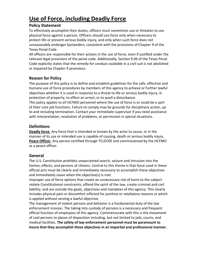# **Use of Force, including Deadly Force**

### **Policy Statement**

To effectively accomplish their duties, officers must sometimes use or threaten to use physical force against a person. Officers should use force only when necessary to protect life or prevent serious bodily injury, and only when such force does not unreasonably endanger bystanders, consistent with the provisions of Chapter 9 of the Texas Penal Code.

All officers are responsible for their actions in the use of force, even if justified under the relevant legal provisions of the penal code. Additionally, Section 9.06 of the Texas Penal Code explicitly states that the remedy for conduct available in a civil suit is not abolished or impaired by Chapter 9 provisions.

## **Reason for Policy**

The purpose of this policy is to define and establish guidelines for the safe, effective and humane use of force procedures by members of this agency to achieve or further lawful objectives whether it is used in response to a threat to life or serious bodily injury, in protection of property, to effect an arrest, or to quell a disturbance.

This policy applies to all HCFMO personnel where the use of force is or could be a part of their core job functions. Failure to comply may be grounds for disciplinary action, up to and including termination. Contact your immediate supervisor if you need assistance with interpretation, resolution of problems, or permission in special situations.

## **Definitions**

**Deadly force**. Any force that is intended or known by the actor to cause, or in the manner of its use or intended use is capable of causing, death or serious bodily injury. **Peace Officer**. Any person certified through TCLEOSE and commissioned by the HCFMO as a peace officer.

#### **General**

The U.S. Constitution prohibits unwarranted search, seizure and intrusion into the homes, effects, and persons of citizens. Central to this theme is that force used in these official acts must be clearly and immediately necessary to accomplish these objectives and immediately cease when the objective(s) is met.

Improper use of force options that create an unnecessary risk of harm to the subject violate Constitutional constraints, offend the spirit of the law, create criminal and civil liability, and are outside the goals, objectives and mandates of this agency. This clearly includes physical pain or discomfort inflicted for punitive or retaliatory reasons or which is applied without serving a lawful objective.

The management of violent persons and behavior is a fundamental duty of the law enforcement mission. The taking into custody of persons is a necessary and frequent official function of employees of this agency. Commensurate with this is the movement of said persons to places of disposition including, but not limited to jails, courts, and medical facilities. **The safety of law enforcement personnel must be paramount to insure that they accomplish these objectives in an impartial and professional manner.**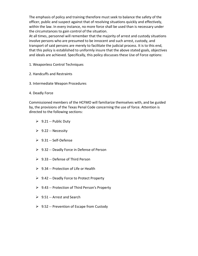The emphasis of policy and training therefore must seek to balance the safety of the officer, public and suspect against that of resolving situations quickly and effectively, within the law. In every instance, no more force shall be used than is necessary under the circumstances to gain control of the situation.

At all times, personnel will remember that the majority of arrest and custody situations involve persons who are presumed to be innocent and such arrest, custody, and transport of said persons are merely to facilitate the judicial process. It is to this end, that this policy is established to uniformly insure that the above stated goals, objectives and ideals are achieved. Specifically, this policy discusses these Use of Force options:

- 1. Weaponless Control Techniques
- 2. Handcuffs and Restraints
- 3. Intermediate Weapon Procedures
- 4. Deadly Force

Commissioned members of the HCFMO will familiarize themselves with, and be guided by, the provisions of the Texas Penal Code concerning the use of force. Attention is directed to the following sections:

- $\geq 9.21$  -- Public Duty
- $\geq$  9.22 -- Necessity
- 9.31 -- Self-Defense
- $\geq$  9.32 -- Deadly Force in Defense of Person
- $\geq$  9.33 -- Defense of Third Person
- $\geq$  9.34 -- Protection of Life or Health
- $\geq 9.42$  -- Deadly Force to Protect Property
- $\triangleright$  9.43 -- Protection of Third Person's Property
- $\geq 9.51$  -- Arrest and Search
- $\geq 9.52$  -- Prevention of Escape from Custody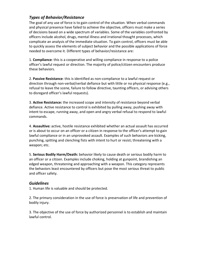## *Types of Behavior/Resistance*

The goal of any use of force is to gain control of the situation. When verbal commands and physical presence have failed to achieve the objective, officers must make a series of decisions based on a wide spectrum of variables. Some of the variables confronted by officers include alcohol, drugs, mental illness and irrational thought processes, which complicate an analysis of the immediate situation. To gain control, officers must be able to quickly assess the elements of subject behavior and the possible applications of force needed to overcome it. Different types of behavior/resistance are:

1. **Compliance**: this is a cooperative and willing compliance in response to a police officer's lawful request or direction. The majority of police/citizen encounters produce these behaviors.

2. **Passive Resistance**: this is identified as non-compliance to a lawful request or direction through non-verbal/verbal defiance but with little or no physical response (e.g., refusal to leave the scene, failure to follow directive, taunting officers, or advising others to disregard officer's lawful requests).

3. **Active Resistance:** the increased scope and intensity of resistance beyond verbal defiance. Active resistance to control is exhibited by pulling away, pushing away with intent to escape, running away, and open and angry verbal refusal to respond to lawful commands.

4. **Assaultive:** active, hostile resistance exhibited whether an actual assault has occurred or is about to occur on an officer or a citizen in response to the officer's attempt to gain lawful compliance or in an unprovoked assault. Examples of such behaviors are kicking, punching, spitting and clenching fists with intent to hurt or resist; threatening with a weapon; etc.

5. **Serious Bodily Harm/Death:** behavior likely to cause death or serious bodily harm to an officer or a citizen. Examples include choking, holding at gunpoint, brandishing an edged weapon, threatening and approaching with a weapon. This category represents the behaviors least encountered by officers but pose the most serious threat to public and officer safety.

## *Guidelines*

1. Human life is valuable and should be protected.

2. The primary consideration in the use of force is preservation of life and prevention of bodily injury.

3. The objective of the use of force by authorized personnel is to establish and maintain lawful control.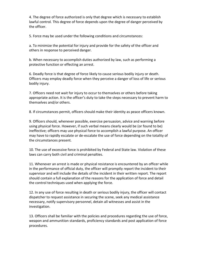4. The degree of force authorized is only that degree which is necessary to establish lawful control. This degree of force depends upon the degree of danger perceived by the officer.

5. Force may be used under the following conditions and circumstances:

a. To minimize the potential for injury and provide for the safety of the officer and others in response to perceived danger.

b. When necessary to accomplish duties authorized by law, such as performing a protective function or effecting an arrest.

6. Deadly force is that degree of force likely to cause serious bodily injury or death. Officers may employ deadly force when they perceive a danger of loss of life or serious bodily injury.

7. Officers need not wait for injury to occur to themselves or others before taking appropriate action. It is the officer's duty to take the steps necessary to prevent harm to themselves and/or others.

8. If circumstances permit, officers should make their identity as peace officers known.

9. Officers should, whenever possible, exercise persuasion, advice and warning before using physical force. However, if such verbal means clearly would be (or found to be) ineffective; officers may use physical force to accomplish a lawful purpose. An officer may have to rapidly escalate or de-escalate the use of force depending on the totality of the circumstances present.

10. The use of excessive force is prohibited by Federal and State law. Violation of these laws can carry both civil and criminal penalties.

11. Whenever an arrest is made or physical resistance is encountered by an officer while in the performance of official duty, the officer will promptly report the incident to their supervisor and will include the details of the incident in their written report. The report should contain a full explanation of the reasons for the application of force and detail the control techniques used when applying the force.

12. In any use of force resulting in death or serious bodily injury, the officer will contact dispatcher to request assistance in securing the scene, seek any medical assistance necessary, notify supervisory personnel, detain all witnesses and assist in the investigation.

13. Officers shall be familiar with the policies and procedures regarding the use of force, weapon and ammunition standards, proficiency standards and post application of force procedures.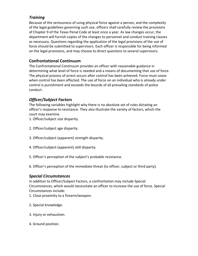## *Training*

Because of the seriousness of using physical force against a person, and the complexity of the legal guidelines governing such use, officers shall carefully review the provisions of Chapter 9 of the Texas Penal Code at least once a year. As law changes occur, the department will furnish copies of the changes to personnel and conduct training classes as necessary. Questions regarding the application of the legal provisions of the use of force should be submitted to supervisors. Each officer is responsible for being informed on the legal provisions, and may choose to direct questions to several supervisors.

## **Confrontational Continuum**

The Confrontational Continuum provides an officer with reasonable guidance in determining what level of force is needed and a means of documenting that use of force. The physical process of arrest occurs after control has been achieved. Force must cease when control has been affected. The use of force on an individual who is already under control is punishment and exceeds the bounds of all prevailing standards of police conduct.

## *Officer/Subject Factors*

The following variables highlight why there is no absolute set of rules dictating an officer's response to resistance. They also illustrate the variety of factors, which the court may examine.

- 1. Officer/subject size disparity.
- 2. Officer/subject age disparity.
- 3. Officer/subject (apparent) strength disparity.
- 4. Officer/subject (apparent) skill disparity.
- 5. Officer's perception of the subject's probable resistance.
- 6. Officer's perception of the immediate threat (to officer, subject or third party).

#### *Special Circumstances*

In addition to Officer/Subject Factors, a confrontation may include Special Circumstances, which would necessitate an officer to increase the use of force. Special Circumstances include:

- 1. Close proximity to a firearm/weapon.
- 2. Special knowledge.
- 3. Injury or exhaustion.
- 4. Ground position.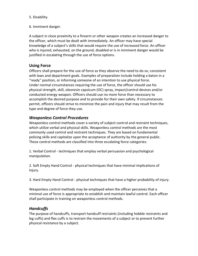#### 5. Disability.

6. Imminent danger.

A subject in close proximity to a firearm or other weapon creates an increased danger to the officer, which must be dealt with immediately. An officer may have special knowledge of a subject's skills that would require the use of increased force. An officer who is injured, exhausted, on the ground, disabled or is in imminent danger would be justified in escalating through the use of force options.

#### **Using Force**

Officers shall prepare for the use of force as they observe the need to do so, consistent with laws and department goals. Examples of preparation include holding a baton in a "ready" position, or informing someone of an intention to use physical force. Under normal circumstances requiring the use of force, the officer should use his physical strength, skill, oleoresin capsicum (OC) spray, impact/control devices and/or conducted energy weapon. Officers should use no more force than necessary to accomplish the desired purpose and to provide for their own safety. If circumstances permit, officers should strive to minimize the pain and injury that may result from the type and degree of force they use.

#### *Weaponless Control Procedures*

Weaponless control methods cover a variety of subject control and restraint techniques, which utilize verbal and physical skills. Weaponless control methods are the most commonly used control and restraint techniques. They are based on fundamental policing skills and capitalize upon the acceptance of authority by the general public. These control methods are classified into three escalating force categories:

1. Verbal Control - techniques that employ verbal persuasion and psychological manipulation.

2. Soft Empty Hand Control - physical techniques that have minimal implications of injury.

3. Hard Empty Hand Control - physical techniques that have a higher probability of injury.

Weaponless control methods may be employed when the officer perceives that a minimal use of force is appropriate to establish and maintain lawful control. Each officer shall participate in training on weaponless control methods.

#### *Handcuffs*

The purpose of handcuffs, transport handcuff restraints (including hobble restraints and leg cuffs) and flex cuffs is to restrain the movements of a subject or to prevent further physical resistance by a subject.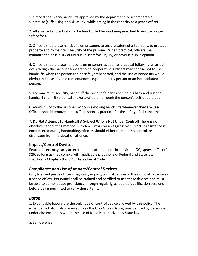1. Officers shall carry handcuffs approved by the department, or a comparable substitute (cuffs using an S & W key) while acting in the capacity as a peace officer.

2. All arrested subjects should be handcuffed before being searched to ensure proper safety for all.

3. Officers should use handcuffs on prisoners to ensure safety of all persons, to protect property and to maintain security of the prisoner. When practical, officers shall minimize the possibility of unusual discomfort, injury, or adverse public opinion.

4. Officers should place handcuffs on prisoners as soon as practical following an arrest, even though the prisoner appears to be cooperative. Officers may choose not to use handcuffs when the person can be safely transported, and the use of handcuffs would obviously cause adverse consequences, e.g., an elderly person or an incapacitated person.

5. For maximum security, handcuff the prisoner's hands behind his back and run the handcuff chain, if (practical and/or available), through the person's belt or belt loop.

6. Avoid injury to the prisoner by double-locking handcuffs whenever they are used. Officers should remove handcuffs as soon as practical for the safety of all concerned.

7. **Do Not Attempt To Handcuff A Subject Who Is Not Under Control!** There is no effective handcuffing method, which will work on an aggressive subject. If resistance is encountered during handcuffing, officers should either re-establish control, or disengage from the situation at once.

## **Impact/Control Devices**

Peace officers may carry an expandable baton, oleoresin capsicum (OC) spray, or Taser® X26, so long as they comply with applicable provisions of Federal and State law, specifically Chapters 9 and 46, Texas Penal Code.

## *Compliance and Use of Impact/Control Devices*

Only licensed peace officers may carry impact/control devices in their official capacity as a peace officer. Personnel shall be trained and certified to use these devices and must be able to demonstrate proficiency through regularly scheduled qualification sessions before being permitted to carry these items.

#### *Baton*

1. Expandable batons are the only type of control device allowed by this policy. The expandable baton, also referred to as the Grip Action Baton, may be used by personnel under circumstances where the use of force is authorized by State law:

a. Self-defense;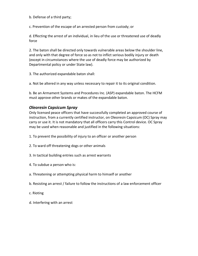b. Defense of a third party;

c. Prevention of the escape of an arrested person from custody; or

d. Effecting the arrest of an individual, in lieu of the use or threatened use of deadly force

2. The baton shall be directed only towards vulnerable areas below the shoulder line, and only with that degree of force so as not to inflict serious bodily injury or death (except in circumstances where the use of deadly force may be authorized by Departmental policy or under State law).

3. The authorized expandable baton shall:

a. Not be altered in any way unless necessary to repair it to its original condition.

b. Be an Armament Systems and Procedures Inc. (ASP) expandable baton. The HCFM must approve other brands or makes of the expandable baton.

#### *Oleoresin Capsicum Spray*

Only licensed peace officers that have successfully completed an approved course of instruction, from a currently certified instructor, on Oleoresin Capsicum (OC) Spray may carry or use it. It is not mandatory that all officers carry this Control device. OC Spray may be used when reasonable and justified in the following situations:

- 1. To prevent the possibility of injury to an officer or another person
- 2. To ward off threatening dogs or other animals
- 3. In tactical building entries such as arrest warrants
- 4. To subdue a person who is:
- a. Threatening or attempting physical harm to himself or another
- b. Resisting an arrest / failure to follow the instructions of a law enforcement officer
- c. Rioting
- d. Interfering with an arrest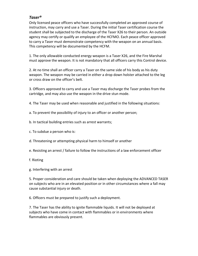### *Taser®*

Only licensed peace officers who have successfully completed an approved course of instruction, may carry and use a Taser. During the initial Taser certification course the student shall be subjected to the discharge of the Taser X26 to their person. An outside agency may certify or qualify an employee of the HCFMO. Each peace officer approved to carry a Taser must demonstrate competency with the weapon on an annual basis. This competency will be documented by the HCFM.

1. The only allowable conducted energy weapon is a Taser X26, and the Fire Marshal must approve the weapon. It is not mandatory that all officers carry this Control device.

2. At no time shall an officer carry a Taser on the same side of his body as his duty weapon. The weapon may be carried in either a drop down holster attached to the leg or cross draw on the officer's belt.

3. Officers approved to carry and use a Taser may discharge the Taser probes from the cartridge, and may also use the weapon in the drive stun mode.

- 4. The Taser may be used when reasonable and justified in the following situations:
- a. To prevent the possibility of injury to an officer or another person;
- b. In tactical building entries such as arrest warrants;
- c. To subdue a person who is:
- d. Threatening or attempting physical harm to himself or another
- e. Resisting an arrest / failure to follow the instructions of a law enforcement officer
- f. Rioting
- g. Interfering with an arrest

5. Proper consideration and care should be taken when deploying the ADVANCED TASER on subjects who are in an elevated position or in other circumstances where a fall may cause substantial injury or death.

6. Officers must be prepared to justify such a deployment.

7. The Taser has the ability to ignite flammable liquids. It will not be deployed at subjects who have come in contact with flammables or in environments where flammables are obviously present.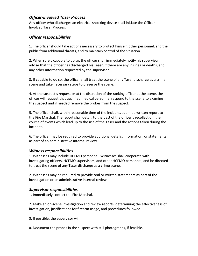## *Officer-involved Taser Process*

Any officer who discharges an electrical shocking device shall initiate the Officer-Involved Taser Process.

## *Officer responsibilities*

1. The officer should take actions necessary to protect himself, other personnel, and the public from additional threats, and to maintain control of the situation.

2. When safely capable to do so, the officer shall immediately notify his supervisor, advise that the officer has discharged his Taser, if there are any injuries or deaths, and any other information requested by the supervisor.

3. If capable to do so, the officer shall treat the scene of any Taser discharge as a crime scene and take necessary steps to preserve the scene.

4. At the suspect's request or at the discretion of the ranking officer at the scene, the officer will request that qualified medical personnel respond to the scene to examine the suspect and if needed remove the probes from the suspect.

5. The officer shall, within reasonable time of the incident, submit a written report to the Fire Marshal. The report shall detail, to the best of the officer's recollection, the course of events which lead up to the use of the Taser and the actions taken during the incident.

6. The officer may be required to provide additional details, information, or statements as part of an administrative internal review.

#### *Witness responsibilities*

1. Witnesses may include HCFMO personnel. Witnesses shall cooperate with investigating officers, HCFMO supervisors, and other HCFMO personnel, and be directed to treat the scene of any Taser discharge as a crime scene.

2. Witnesses may be required to provide oral or written statements as part of the investigation or an administrative internal review.

## *Supervisor responsibilities*

1. Immediately contact the Fire Marshal.

2. Make an on-scene investigation and review reports, determining the effectiveness of investigation, justifications for firearm usage, and procedures followed.

3. If possible, the supervisor will:

a. Document the probes in the suspect with still photographs, if feasible.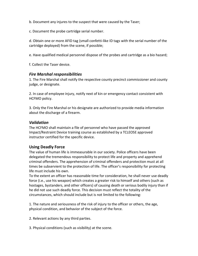b. Document any injures to the suspect that were caused by the Taser;

c. Document the probe cartridge serial number.

d. Obtain one or more AFID tag (small confetti-like ID tags with the serial number of the cartridge deployed) from the scene, if possible;

e. Have qualified medical personnel dispose of the probes and cartridge as a bio hazard;

f. Collect the Taser device.

#### *Fire Marshal responsibilities*

1. The Fire Marshal shall notify the respective county precinct commissioner and county judge, or designate.

2. In case of employee injury, notify next of kin or emergency contact consistent with HCFMO policy.

3. Only the Fire Marshal or his designate are authorized to provide media information about the discharge of a firearm.

#### *Validation*

The HCFMO shall maintain a file of personnel who have passed the approved Impact/Restraint Device training course as established by a TCLEOSE approved instructor certified for the specific device.

#### **Using Deadly Force**

The value of human life is immeasurable in our society. Police officers have been delegated the tremendous responsibility to protect life and property and apprehend criminal offenders. The apprehension of criminal offenders and protection must at all times be subservient to the protection of life. The officer's responsibility for protecting life must include his own.

To the extent an officer has reasonable time for consideration, he shall never use deadly force (i.e., use his weapon) which creates a greater risk to himself and others (such as hostages, bystanders, and other officers) of causing death or serious bodily injury than if he did not use such deadly force. This decision must reflect the totality of the circumstances, which should include but is not limited to the following:

1. The nature and seriousness of the risk of injury to the officer or others, the age, physical condition, and behavior of the subject of the force.

2. Relevant actions by any third parties.

3. Physical conditions (such as visibility) at the scene.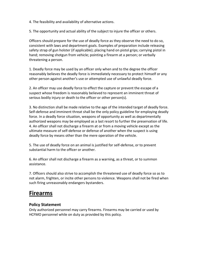4. The feasibility and availability of alternative actions.

5. The opportunity and actual ability of the subject to injure the officer or others.

Officers should prepare for the use of deadly force as they observe the need to do so, consistent with laws and department goals. Examples of preparation include releasing safety strap of gun holster (if applicable); placing hand on pistol grips; carrying pistol in hand; removing shotgun from vehicle; pointing a firearm at a person; or verbally threatening a person.

1. Deadly force may be used by an officer only when and to the degree the officer reasonably believes the deadly force is immediately necessary to protect himself or any other person against another's use or attempted use of unlawful deadly force.

2. An officer may use deadly force to effect the capture or prevent the escape of a suspect whose freedom is reasonably believed to represent an imminent threat of serious bodily injury or death to the officer or other person(s).

3. No distinction shall be made relative to the age of the intended target of deadly force. Self-defense and imminent threat shall be the only policy guideline for employing deadly force. In a deadly force situation, weapons of opportunity as well as departmentally authorized weapons may be employed as a last resort to further the preservation of life. 4. An officer shall not discharge a firearm at or from a moving vehicle except as the ultimate measure of self-defense or defense of another when the suspect is using deadly force by means other than the mere operation of the vehicle.

5. The use of deadly force on an animal is justified for self-defense, or to prevent substantial harm to the officer or another.

6. An officer shall not discharge a firearm as a warning, as a threat, or to summon assistance.

7. Officers should also strive to accomplish the threatened use of deadly force so as to not alarm, frighten, or incite other persons to violence. Weapons shall not be fired when such firing unreasonably endangers bystanders.

## **Firearms**

## **Policy Statement**

Only authorized personnel may carry firearms. Firearms may be carried or used by HCFMO personnel while on duty as provided by this policy.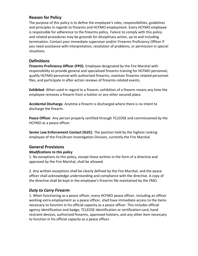## **Reason for Policy**

The purpose of this policy is to define the employee's roles, responsibilities, guidelines and principles in regards to firearms and HCFMO employment. Every HCFMO employee is responsible for adherence to the firearms policy. Failure to comply with this policy and related procedures may be grounds for disciplinary action, up to and including termination. Contact your immediate supervisor and/or Firearms Proficiency Officer if you need assistance with interpretation, resolution of problems, or permission in special situations.

#### **Definitions**

**Firearms Proficiency Officer (FPO)**. Employee designated by the Fire Marshal with responsibility to provide general and specialized firearms training for HCFMO personnel, qualify HCFMO personnel with authorized firearms, maintain firearms-related personnel files, and participate in after-action reviews of firearms-related events.

**Exhibited**. When used in regard to a firearm, exhibition of a firearm means any time the employee removes a firearm from a holster or any other secured place.

**Accidental Discharge**. Anytime a firearm is discharged where there is no intent to discharge the firearm.

**Peace Officer**. Any person properly certified through TCLEOSE and commissioned by the HCFMO as a peace officer.

**Senior Law Enforcement Contact (SLEC)**. The position held by the highest ranking employee of the Fire/Arson Investigation Division, currently the Fire Marshal.

## **General Provisions**

#### *Modifications to this policy*

1. No exceptions to this policy, except those written in the form of a directive and approved by the Fire Marshal, shall be allowed.

2. Any written exceptions shall be clearly defined by the Fire Marshal, and the peace officer shall acknowledge understanding and compliance with the directive. A copy of the directive shall be kept in the employee's firearms file maintained by the FMO.

## *Duty to Carry Firearm*

1. When functioning as a peace officer, every HCFMO peace officer, including an officer working extra employment as a peace officer, shall have immediate access to the items necessary to function in his official capacity as a peace officer. This includes official agency identification and badge, TCLEOSE identification or certification card, hand restraint devices, authorized firearms, approved holsters, and any other item necessary to function in his official capacity as a peace officer.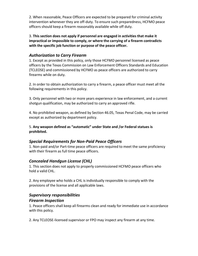2. When reasonable, Peace Officers are expected to be prepared for criminal activity intervention whenever they are off-duty. To ensure such preparedness, HCFMO peace officers should keep a firearm reasonably available while off duty.

3. **This section does not apply if personnel are engaged in activities that make it impractical or impossible to comply, or where the carrying of a firearm contradicts with the specific job function or purpose of the peace officer.** 

## *Authorization to Carry Firearm*

1. Except as provided in this policy, only those HCFMO personnel licensed as peace officers by the Texas Commission on Law Enforcement Officers Standards and Education (TCLEOSE) and commissioned by HCFMO as peace officers are authorized to carry firearms while on duty.

2. In order to obtain authorization to carry a firearm, a peace officer must meet all the following requirements in this policy.

3. Only personnel with two or more years experience in law enforcement, and a current shotgun qualification, may be authorized to carry an approved rifle.

4. No prohibited weapon, as defined by Section 46.05, Texas Penal Code, may be carried except as authorized by department policy.

5. **Any weapon defined as "automatic" under State and /or Federal statues is prohibited.** 

## *Special Requirements for Non-Paid Peace Officers*

1. Non-paid and/or Part-time peace officers are required to meet the same proficiency with their firearm as full time peace officers.

## *Concealed Handgun License (CHL)*

1. This section does not apply to properly commissioned HCFMO peace officers who hold a valid CHL.

2. Any employee who holds a CHL is individually responsible to comply with the provisions of the license and all applicable laws.

## *Supervisory responsibilities*

## *Firearm Inspection*

1. Peace officers shall keep all firearms clean and ready for immediate use in accordance with this policy.

2. Any TCLEOSE-licensed supervisor or FPO may inspect any firearm at any time.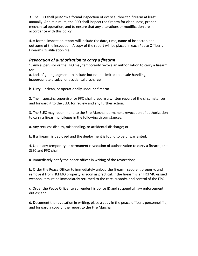3. The FPO shall perform a formal inspection of every authorized firearm at least annually. At a minimum, the FPO shall inspect the firearm for cleanliness, proper mechanical operation, and to ensure that any alterations or modification are in accordance with this policy.

4. A formal inspection report will include the date, time, name of inspector, and outcome of the inspection. A copy of the report will be placed in each Peace Officer's Firearms Qualification file.

## *Revocation of authorization to carry a firearm*

1. Any supervisor or the FPO may temporarily revoke an authorization to carry a firearm for:

a. Lack of good judgment, to include but not be limited to unsafe handling, inappropriate display, or accidental discharge

b. Dirty, unclean, or operationally unsound firearm.

2. The inspecting supervisor or FPO shall prepare a written report of the circumstances and forward it to the SLEC for review and any further action.

3. The SLEC may recommend to the Fire Marshal permanent revocation of authorization to carry a firearm privileges in the following circumstances:

a. Any reckless display, mishandling, or accidental discharge; or

b. If a firearm is deployed and the deployment is found to be unwarranted.

4. Upon any temporary or permanent revocation of authorization to carry a firearm, the SLEC and FPO shall:

a. Immediately notify the peace officer in writing of the revocation;

b. Order the Peace Officer to immediately unload the firearm, secure it properly, and remove it from HCFMO property as soon as practical. If the firearm is an HCFMO-issued weapon, it must be immediately returned to the care, custody, and control of the FPO.

c. Order the Peace Officer to surrender his police ID and suspend all law enforcement duties; and

d. Document the revocation in writing, place a copy in the peace officer's personnel file, and forward a copy of the report to the Fire Marshal.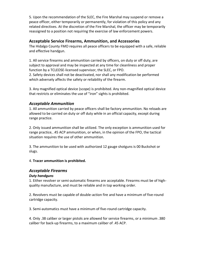5. Upon the recommendation of the SLEC, the Fire Marshal may suspend or remove a peace officer, either temporarily or permanently, for violation of this policy and any related directives. At the discretion of the Fire Marshal, the officer may be temporarily reassigned to a position not requiring the exercise of law enforcement powers.

#### **Acceptable Service Firearms, Ammunition, and Accessories**

The Hidalgo County FMO requires all peace officers to be equipped with a safe, reliable and effective handgun.

1. All service firearms and ammunition carried by officers, on duty or off duty, are subject to approval and may be inspected at any time for cleanliness and proper function by a TCLEOSE-licensed supervisor, the SLEC, or FPO. 2. Safety devices shall not be deactivated, nor shall any modification be performed which adversely affects the safety or reliability of the firearm.

3. Any magnified optical device (scope) is prohibited. Any non-magnified optical device that restricts or eliminates the use of "iron" sights is prohibited.

#### *Acceptable Ammunition*

1. All ammunition carried by peace officers shall be factory ammunition. No reloads are allowed to be carried on duty or off duty while in an official capacity, except during range practice.

2. Only issued ammunition shall be utilized. The only exception is ammunition used for range practice, .45 ACP ammunition, or when, in the opinion of the FPO, the tactical situation requires the use of other ammunition.

3. The ammunition to be used with authorized 12 gauge shotguns is 00 Buckshot or slugs.

#### 4. **Tracer ammunition is prohibited.**

#### *Acceptable Firearms*

#### *Duty handguns*

1. Either revolver or semi-automatic firearms are acceptable. Firearms must be of highquality manufacture, and must be reliable and in top working order.

2. Revolvers must be capable of double-action fire and have a minimum of five-round cartridge capacity.

3. Semi-automatics must have a minimum of five-round cartridge capacity.

4. Only .38 caliber or larger pistols are allowed for service firearms, or a minimum .380 caliber for back-up firearms, to a maximum caliber of .45 ACP.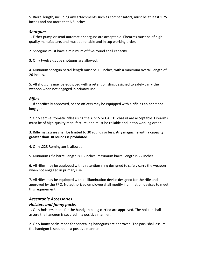5. Barrel length, including any attachments such as compensators, must be at least 1.75 inches and not more that 6.5 inches.

### *Shotguns*

1. Either pump or semi-automatic shotguns are acceptable. Firearms must be of highquality manufacture, and must be reliable and in top working order.

2. Shotguns must have a minimum of five-round shell capacity.

3. Only twelve-gauge shotguns are allowed.

4. Minimum shotgun barrel length must be 18 inches, with a minimum overall length of 26 inches.

5. All shotguns may be equipped with a retention sling designed to safely carry the weapon when not engaged in primary use.

## *Rifles*

1. If specifically approved, peace officers may be equipped with a rifle as an additional long gun.

2. Only semi-automatic rifles using the AR-15 or CAR 15 chassis are acceptable. Firearms must be of high-quality manufacture, and must be reliable and in top working order.

3. Rifle magazines shall be limited to 30 rounds or less. **Any magazine with a capacity greater than 30 rounds is prohibited.** 

4. Only .223 Remington is allowed.

5. Minimum rifle barrel length is 16 inches; maximum barrel length is 22 inches.

6. All rifles may be equipped with a retention sling designed to safely carry the weapon when not engaged in primary use.

7. All rifles may be equipped with an illumination device designed for the rifle and approved by the FPO. No authorized employee shall modify illumination devices to meet this requirement.

## *Acceptable Accessories*

## *Holsters and fanny packs*

1. Only holsters made for the handgun being carried are approved. The holster shall assure the handgun is secured in a positive manner.

2. Only fanny packs made for concealing handguns are approved. The pack shall assure the handgun is secured in a positive manner.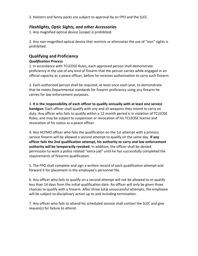3. Holsters and fanny packs are subject to approval by an FPO and the SLEC.

#### *Flashlights, Optic Sights, and other Accessories*

1. Any magnified optical device (scope) is prohibited.

2. Any non-magnified optical device that restricts or eliminates the use of "iron" sights is prohibited.

## **Qualifying and Proficiency**

#### *Qualification Process*

1. In accordance with TCLEOSE Rules, each approved person shall demonstrate proficiency in the use of any kind of firearm that the person carries while engaged in an official capacity as a peace officer, before he receives authorization to carry such firearm.

2. Each authorized person shall be required, at least once each year, to demonstrate that he meets Departmental standards for firearm proficiency using any firearm he carries for law enforcement purposes.

3. **It is the responsibility of each officer to qualify annually with at least one service handgun.** Each officer shall qualify with any and all weapons they intend to carry on duty. Any officer who fails to qualify within a 12-month period is in violation of TCLEOSE Rules, and may be subject to suspension or revocation of his TCLEOSE license and revocation of his status as a peace officer.

4. Any HCFMO officer who fails the qualification on the 1st attempt with a primary service firearm will be allowed a second attempt to qualify on the same day. **If any officer fails the 2nd qualification attempt, his authority to carry and law enforcement authority will be temporarily revoked**. In addition, the officer shall be denied permission to work a police related "extra-job" until he has successfully completed the requirements of firearms qualification.

5. The FPO shall complete and sign a written record of each qualification attempt and forward it for placement in the employee's personnel file.

6. Any officer who fails to qualify on a second attempt will not be allowed to re-qualify less than 14 days from the initial qualification date. An officer will only be given three chances to qualify with a firearm. After three total unsuccessful attempts, the employee will be subject to disciplinary action up to and including termination.

7. Any officer who fails to attend his scheduled session shall contact the SLEC and give reason(s) for failure to attend.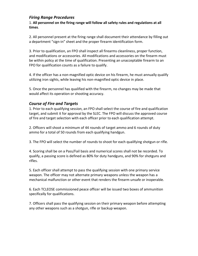#### *Firing Range Procedures*

1. **All personnel on the firing range will follow all safety rules and regulations at all times**.

2. All personnel present at the firing range shall document their attendance by filling out a department "sign-in" sheet and the proper firearm identification form.

3. Prior to qualification, an FPO shall inspect all firearms cleanliness, proper function, and modifications or accessories. All modifications and accessories on the firearm must be within policy at the time of qualification. Presenting an unacceptable firearm to an FPO for qualification counts as a failure to qualify.

4. If the officer has a non-magnified optic device on his firearm, he must annually qualify utilizing iron sights, while leaving his non-magnified optic device in place.

5. Once the personnel has qualified with the firearm, no changes may be made that would affect its operation or shooting accuracy.

## *Course of Fire and Targets*

1. Prior to each qualifying session, an FPO shall select the course of fire and qualification target, and submit it for approval by the SLEC. The FPO will discuss the approved course of fire and target selection with each officer prior to each qualification attempt.

2. Officers will shoot a minimum of 44 rounds of target ammo and 6 rounds of duty ammo for a total of 50 rounds from each qualifying handgun.

3. The FPO will select the number of rounds to shoot for each qualifying shotgun or rifle.

4. Scoring shall be on a Pass/Fail basis and numerical scores shall not be recorded. To qualify, a passing score is defined as 80% for duty handguns, and 90% for shotguns and rifles.

5. Each officer shall attempt to pass the qualifying session with one primary service weapon. The officer may not alternate primary weapons unless the weapon has a mechanical malfunction or other event that renders the firearm unsafe or inoperable.

6. Each TCLEOSE commissioned peace officer will be issued two boxes of ammunition specifically for qualifications.

7. Officers shall pass the qualifying session on their primary weapon before attempting any other weapons such as a shotgun, rifle or backup weapon.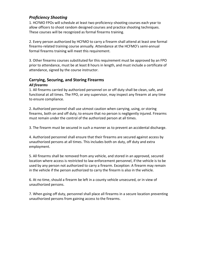## *Proficiency Shooting*

1. HCFMO FPOs will schedule at least two proficiency-shooting courses each year to allow officers to shoot random designed courses and practice shooting techniques. These courses will be recognized as formal firearms training.

2. Every person authorized by HCFMO to carry a firearm shall attend at least one formal firearms-related training course annually. Attendance at the HCFMO's semi-annual formal firearms training will meet this requirement.

3. Other firearms courses substituted for this requirement must be approved by an FPO prior to attendance, must be at least 8 hours in length, and must include a certificate of attendance, signed by the course instructor.

# **Carrying, Securing, and Storing Firearms**

#### *All firearms*

1. All firearms carried by authorized personnel on or off duty shall be clean, safe, and functional at all times. The FPO, or any supervisor, may inspect any firearm at any time to ensure compliance.

2. Authorized personnel shall use utmost caution when carrying, using, or storing firearms, both on and off duty, to ensure that no person is negligently injured. Firearms must remain under the control of the authorized person at all times.

3. The firearm must be secured in such a manner as to prevent an accidental discharge.

4. Authorized personnel shall ensure that their firearms are secured against access by unauthorized persons at all times. This includes both on duty, off duty and extra employment.

5. All firearms shall be removed from any vehicle, and stored in an approved, secured location where access is restricted to law enforcement personnel, if the vehicle is to be used by any person not authorized to carry a firearm. Exception: A firearm may remain in the vehicle if the person authorized to carry the firearm is also in the vehicle.

6. At no time, should a firearm be left in a county vehicle unsecured, or in view of unauthorized persons.

7. When going off duty, personnel shall place all firearms in a secure location preventing unauthorized persons from gaining access to the firearms.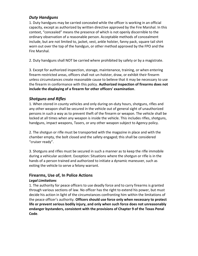### *Duty Handguns*

1. Duty handguns may be carried concealed while the officer is working in an official capacity, except as authorized by written directive approved by the Fire Marshal. In this context, "concealed" means the presence of which is not openly discernible to the ordinary observation of a reasonable person. Acceptable methods of concealment include, but are not limited to, jacket, vest, ankle holster, fanny pack, square tail shirt worn out over the top of the handgun, or other method approved by the FPO and the Fire Marshal.

2. Duty handguns shall NOT be carried where prohibited by safety or by a magistrate.

3. Except for authorized inspection, storage, maintenance, training, or when entering firearm-restricted areas, officers shall not un-holster, draw, or exhibit their firearm unless circumstances create reasonable cause to believe that it may be necessary to use the firearm in conformance with this policy. **Authorized inspection of firearms does not include the displaying of a firearm for other officers' examination**.

## *Shotguns and Rifles*

1. When stored in county vehicles and only during on-duty hours, shotguns, rifles and any other weapon shall be secured in the vehicle out of general sight of unauthorized persons in such a way as to prevent theft of the firearm or weapon. The vehicle shall be locked at all times when any weapon is inside the vehicle. This includes rifles, shotguns, handguns, impact weapons, Tasers, or any other weapon subject to Agency policy.

2. The shotgun or rifle must be transported with the magazine in place and with the chamber empty, the bolt closed and the safety engaged; this shall be considered "cruiser ready".

3. Shotguns and rifles must be secured in such a manner as to keep the rifle immobile during a vehicular accident. Exception: Situations where the shotgun or rifle is in the hands of a person trained and authorized to initiate a dynamic maneuver, such as exiting the vehicle to serve a felony warrant.

## **Firearms, Use of, In Police Actions**

#### *Legal Limitations*

1. The authority for peace officers to use deadly force and to carry firearms is granted through various sections of law. No officer has the right to extend his power, but must decide his action in light of the circumstances confronting him within the limitations of the peace officer's authority. **Officers should use force only when necessary to protect life or prevent serious bodily injury, and only when such force does not unreasonably endanger bystanders, consistent with the provisions of Chapter 9 of the Texas Penal Code**.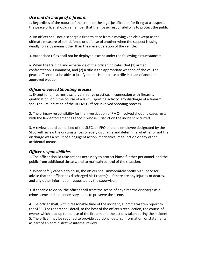## *Use and discharge of a firearm*

1. Regardless of the nature of the crime or the legal justification for firing at a suspect, the peace officer should remember that their basic responsibility is to protect the public.

2. An officer shall not discharge a firearm at or from a moving vehicle except as the ultimate measure of self-defense or defense of another when the suspect is using deadly force by means other than the mere operation of the vehicle.

3. Authorized rifles shall not be deployed except under the following circumstances:

a. When the training and experience of the officer indicates that (1) armed confrontation is imminent, and (2) a rifle is the appropriate weapon of choice. The peace officer must be able to justify the decision to use a rifle instead of another approved weapon.

## *Officer-involved Shooting process*

1. Except for a firearms discharge in range practice, in connection with firearms qualification, or in the course of a lawful sporting activity, any discharge of a firearm shall require initiation of the HCFMO Officer-involved Shooting process.

2. The primary responsibility for the investigation of FMO-involved shooting cases rests with the law enforcement agency in whose jurisdiction the incident occurred.

3. A review board comprised of the SLEC, an FPO and one employee designated by the SLEC will review the circumstances of every discharge and determine whether or not the discharge was a result of a negligent action, mechanical malfunction or any other accidental means.

## *Officer responsibilities*

1. The officer should take actions necessary to protect himself, other personnel, and the public from additional threats, and to maintain control of the situation.

2. When safely capable to do so, the officer shall immediately notify his supervisor, advise that the officer has discharged his firearm(s), if there are any injuries or deaths, and any other information requested by the supervisor.

3. If capable to do so, the officer shall treat the scene of any firearms discharge as a crime scene and take necessary steps to preserve the scene.

4. The officer shall, within reasonable time of the incident, submit a written report to the SLEC. The report shall detail, to the best of the officer's recollection, the course of events which lead up to the use of the firearm and the actions taken during the incident. 5. The officer may be required to provide additional details, information, or statements as part of an administrative internal review.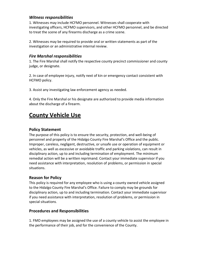#### *Witness responsibilities*

1. Witnesses may include HCFMO personnel. Witnesses shall cooperate with investigating officers, HCFMO supervisors, and other HCFMO personnel, and be directed to treat the scene of any firearms discharge as a crime scene.

2. Witnesses may be required to provide oral or written statements as part of the investigation or an administrative internal review.

#### *Fire Marshal responsibilities*

1. The Fire Marshal shall notify the respective county precinct commissioner and county judge, or designate.

2. In case of employee injury, notify next of kin or emergency contact consistent with HCFMO policy.

3. Assist any investigating law enforcement agency as needed.

4. Only the Fire Marshal or his designate are authorized to provide media information about the discharge of a firearm.

## **County Vehicle Use**

## **Policy Statement**

The purpose of this policy is to ensure the security, protection, and well-being of personnel and property of the Hidalgo County Fire Marshal's Office and the public. Improper, careless, negligent, destructive, or unsafe use or operation of equipment or vehicles, as well as excessive or avoidable traffic and parking violations, can result in disciplinary action, up to and including termination of employment. The minimum remedial action will be a written reprimand. Contact your immediate supervisor if you need assistance with interpretation, resolution of problems, or permission in special situations.

## **Reason for Policy**

This policy is required for any employee who is using a county owned vehicle assigned to the Hidalgo County Fire Marshal's Office. Failure to comply may be grounds for disciplinary action, up to and including termination. Contact your immediate supervisor if you need assistance with interpretation, resolution of problems, or permission in special situations.

#### **Procedures and Responsibilities**

1. FMO employees may be assigned the use of a county vehicle to assist the employee in the performance of their job, and for the convenience of the County.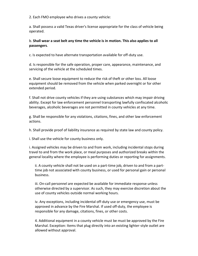2. Each FMO employee who drives a county vehicle:

a. Shall possess a valid Texas driver's license appropriate for the class of vehicle being operated.

#### b. **Shall wear a seat belt any time the vehicle is in motion. This also applies to all passengers**.

c. Is expected to have alternate transportation available for off-duty use.

d. Is responsible for the safe operation, proper care, appearance, maintenance, and servicing of the vehicle at the scheduled times.

e. Shall secure loose equipment to reduce the risk of theft or other loss. All loose equipment should be removed from the vehicle when parked overnight or for other extended period.

f. Shall not drive county vehicles if they are using substances which may impair driving ability. Except for law enforcement personnel transporting lawfully confiscated alcoholic beverages, alcoholic beverages are not permitted in county vehicles at any time.

g. Shall be responsible for any violations, citations, fines, and other law enforcement actions.

h. Shall provide proof of liability insurance as required by state law and county policy.

i. Shall use the vehicle for county business only.

i. Assigned vehicles may be driven to and from work, including incidental stops during travel to and from the work place, or meal purposes and authorized breaks within the general locality where the employee is performing duties or reporting for assignments.

ii. A county vehicle shall not be used on a part-time job, driven to and from a parttime job not associated with county business, or used for personal gain or personal business.

iii. On-call personnel are expected be available for immediate response unless otherwise directed by a supervisor. As such, they may exercise discretion about the use of county vehicles outside normal working hours.

iv. Any exceptions, including incidental off-duty use or emergency use, must be approved in advance by the Fire Marshal. If used off-duty, the employee is responsible for any damage, citations, fines, or other costs.

4. Additional equipment in a county vehicle must be must be approved by the Fire Marshal. Exception: Items that plug directly into an existing lighter-style outlet are allowed without approval.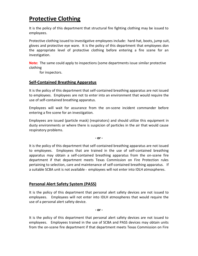## **Protective Clothing**

It is the policy of this department that structural fire fighting clothing may be issued to employees.

Protective clothing issued to investigative employees include: hard-hat, boots, jump suit, gloves and protective eye ware. It is the policy of this department that employees don the appropriate level of protective clothing before entering a fire scene for an investigation.

**Note:** The same could apply to inspections (some departments issue similar protective clothing

for inspectors.

#### **Self-Contained Breathing Apparatus**

It is the policy of this department that self-contained breathing apparatus are not issued to employees. Employees are not to enter into an environment that would require the use of self-contained breathing apparatus.

Employees will wait for assurance from the on-scene incident commander before entering a fire scene for an investigation.

Employees are issued (particle mask) (respirators) and should utilize this equipment in dusty environments or where there is suspicion of particles in the air that would cause respiratory problems.

**- or -**

It is the policy of this department that self-contained breathing apparatus are not issued to employees. Employees that are trained in the use of self-contained breathing apparatus may obtain a self-contained breathing apparatus from the on-scene fire department if that department meets Texas Commission on Fire Protection rules pertaining to selection, care and maintenance of self-contained breathing apparatus. If a suitable SCBA unit is not available = employees will not enter into IDLH atmospheres.

#### **Personal Alert Safety System (PASS)**

It is the policy of this department that personal alert safety devices are not issued to employees. Employees will not enter into IDLH atmospheres that would require the use of a personal alert safety device.

**- or -**

It is the policy of this department that personal alert safety devices are not issued to employees. Employees trained in the use of SCBA and PASS devices may obtain units from the on-scene fire department if that department meets Texas Commission on Fire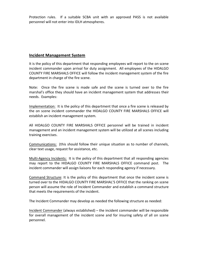Protection rules. If a suitable SCBA unit with an approved PASS is not available personnel will not enter into IDLH atmospheres.

#### **Incident Management System**

It is the policy of this department that responding employees will report to the on scene incident commander upon arrival for duty assignment. All employees of the HIDALGO COUNTY FIRE MARSHALS OFFICE will follow the incident management system of the fire department in charge of the fire scene.

Note: Once the fire scene is made safe and the scene is turned over to the fire marshal's office they should have an incident management system that addresses their needs. Examples:

Implementation: It is the policy of this department that once a fire scene is released by the on scene incident commander the HIDALGO COUNTY FIRE MARSHALS OFFICE will establish an incident management system.

All HIDALGO COUNTY FIRE MARSHALS OFFICE personnel will be trained in incident management and an incident management system will be utilized at all scenes including training exercises.

Communications: (this should follow their unique situation as to number of channels, clear text usage, request for assistance, etc.

Multi-Agency Incidents: It is the policy of this department that all responding agencies may report to the HIDALGO COUNTY FIRE MARSHALS OFFICE command post. The incident commander will assign liaisons for each responding agency if necessary.

Command Structure: It is the policy of this department that once the incident scene is turned over to the HIDALGO COUNTY FIRE MARSHAL'S OFFICE that the ranking on scene person will assume the role of Incident Commander and establish a command structure that meets the requirements of the incident.

The Incident Commander may develop as needed the following structure as needed:

Incident Commander (always established) – the incident commander will be responsible for overall management of the incident scene and for insuring safety of all on scene personnel.